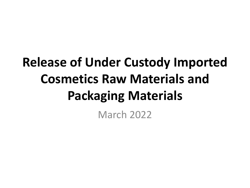## **Release of Under Custody Imported Cosmetics Raw Materials and Packaging Materials**

March 2022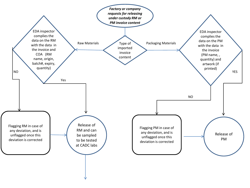